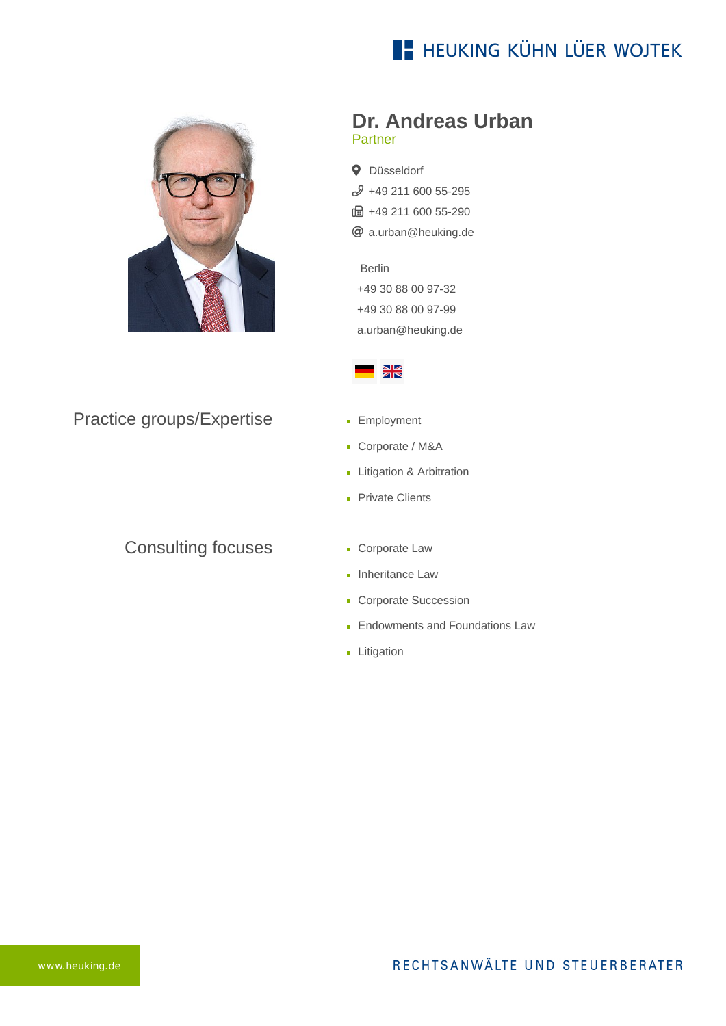## **E- HEUKING KÜHN LÜER WOJTEK**



#### Practice groups/Expertise

### Consulting focuses

#### **Dr. Andreas Urban** Partner

**Q** Düsseldorf  $$49$  211 600 55-295 fa +49 211 600 55-290 [a.urban@heuking.de](mailto:a.urban@heuking.de?subject=Contact%20via%20website%20heuking.de)

Berlin [+49 30 88 00 97-32](tel:+493088009732) +49 30 88 00 97-99 [a.urban@heuking.de](javascript:linkTo_UnCryptMailto(%27kygjrm8y%2CspzylYfcsigle%2Cbc%3Fqszhcar%3DAmlryar%250.tgy%250.uczqgrc%250.fcsigle%2Cbc%27);)



- **Employment**
- Corporate / M&A
- **Litigation & Arbitration**
- **Private Clients**
- **Corporate Law**
- **Inheritance Law**
- **Corporate Succession**
- **Endowments and Foundations Law**
- **Litigation**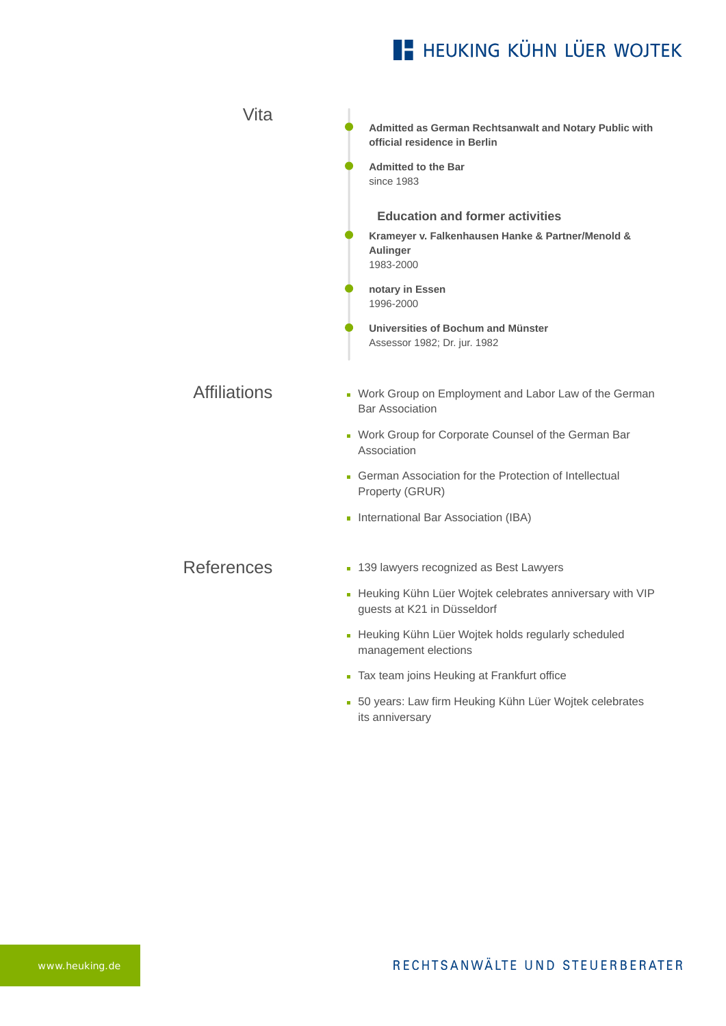# **E- HEUKING KÜHN LÜER WOJTEK**

| Vita                | Admitted as German Rechtsanwalt and Notary Public with<br>official residence in Berlin<br><b>Admitted to the Bar</b><br>since 1983                   |
|---------------------|------------------------------------------------------------------------------------------------------------------------------------------------------|
|                     | <b>Education and former activities</b><br>Krameyer v. Falkenhausen Hanke & Partner/Menold &<br>Aulinger<br>1983-2000<br>notary in Essen<br>1996-2000 |
|                     | Universities of Bochum and Münster<br>Assessor 1982; Dr. jur. 1982                                                                                   |
| <b>Affiliations</b> | • Work Group on Employment and Labor Law of the German<br><b>Bar Association</b>                                                                     |
|                     | • Work Group for Corporate Counsel of the German Bar<br>Association                                                                                  |
|                     | • German Association for the Protection of Intellectual<br>Property (GRUR)                                                                           |
|                     | International Bar Association (IBA)                                                                                                                  |
| <b>References</b>   | • 139 lawyers recognized as Best Lawyers                                                                                                             |
|                     | - Heuking Kühn Lüer Wojtek celebrates anniversary with VIP<br>guests at K21 in Düsseldorf                                                            |
|                     | - Heuking Kühn Lüer Wojtek holds regularly scheduled<br>management elections                                                                         |
|                     | Tax team joins Heuking at Frankfurt office<br>Ē.                                                                                                     |

[50 years: Law firm Heuking Kühn Lüer Wojtek celebrates](https://www.heuking.de/en/lawyers/detail/pdf-download.html?lawyer=285&cHash=562e80a0031fd3aa024cbca5686961aa) its anniversary